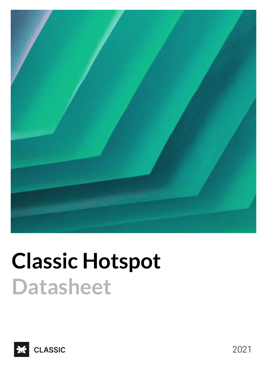

# **Classic Hotspot Datasheet**



2021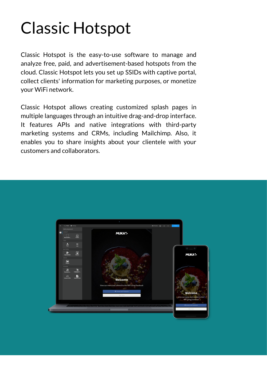# Classic Hotspot

Classic Hotspot is the easy-to-use software to manage and analyze free, paid, and advertisement-based hotspots from the cloud. Classic Hotspot lets you set up SSIDs with captive portal, collect clients' information for marketing purposes, or monetize your WiFi network.

Classic Hotspot allows creating customized splash pages in multiple languages through an intuitive drag-and-drop interface. It features APIs and native integrations with third-party marketing systems and CRMs, including Mailchimp. Also, it enables you to share insights about your clientele with your customers and collaborators.

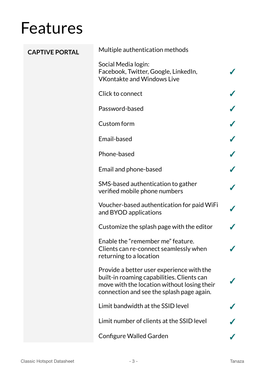| <b>CAPTIVE PORTAL</b> | Multiple authentication methods                                                                                                                                                     |  |
|-----------------------|-------------------------------------------------------------------------------------------------------------------------------------------------------------------------------------|--|
|                       | Social Media login:<br>Facebook, Twitter, Google, LinkedIn,<br><b>VKontakte and Windows Live</b>                                                                                    |  |
|                       | Click to connect                                                                                                                                                                    |  |
|                       | Password-based                                                                                                                                                                      |  |
|                       | Custom form                                                                                                                                                                         |  |
|                       | Email-based                                                                                                                                                                         |  |
|                       | Phone-based                                                                                                                                                                         |  |
|                       | Email and phone-based                                                                                                                                                               |  |
|                       | SMS-based authentication to gather<br>verified mobile phone numbers                                                                                                                 |  |
|                       | Voucher-based authentication for paid WiFi<br>and BYOD applications                                                                                                                 |  |
|                       | Customize the splash page with the editor                                                                                                                                           |  |
|                       | Enable the "remember me" feature.<br>Clients can re-connect seamlessly when<br>returning to a location                                                                              |  |
|                       | Provide a better user experience with the<br>built-in roaming capabilities. Clients can<br>move with the location without losing their<br>connection and see the splash page again. |  |
|                       | Limit bandwidth at the SSID level                                                                                                                                                   |  |
|                       | Limit number of clients at the SSID level                                                                                                                                           |  |
|                       | <b>Configure Walled Garden</b>                                                                                                                                                      |  |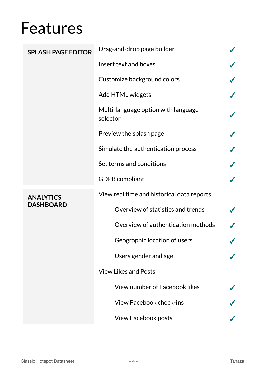| <b>SPLASH PAGE EDITOR</b>            | Drag-and-drop page builder                      |  |
|--------------------------------------|-------------------------------------------------|--|
|                                      | Insert text and boxes                           |  |
|                                      | Customize background colors                     |  |
|                                      | Add HTML widgets                                |  |
|                                      | Multi-language option with language<br>selector |  |
|                                      | Preview the splash page                         |  |
|                                      | Simulate the authentication process             |  |
|                                      | Set terms and conditions                        |  |
|                                      | <b>GDPR</b> compliant                           |  |
| <b>ANALYTICS</b><br><b>DASHBOARD</b> | View real time and historical data reports      |  |
|                                      | Overview of statistics and trends               |  |
|                                      | Overview of authentication methods              |  |
|                                      | Geographic location of users                    |  |
|                                      | Users gender and age                            |  |
|                                      | <b>View Likes and Posts</b>                     |  |
|                                      | View number of Facebook likes                   |  |
|                                      | <b>View Facebook check-ins</b>                  |  |
|                                      | <b>View Facebook posts</b>                      |  |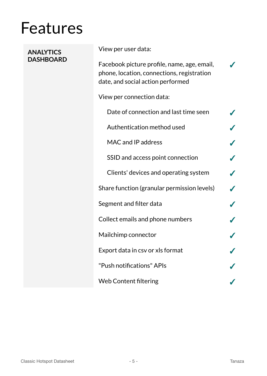| <b>ANALYTICS</b><br><b>DASHBOARD</b> | View per user data:                                                                                                            |  |
|--------------------------------------|--------------------------------------------------------------------------------------------------------------------------------|--|
|                                      | Facebook picture profile, name, age, email,<br>phone, location, connections, registration<br>date, and social action performed |  |
|                                      | View per connection data:                                                                                                      |  |
|                                      | Date of connection and last time seen                                                                                          |  |
|                                      | Authentication method used                                                                                                     |  |
|                                      | MAC and IP address                                                                                                             |  |
|                                      | SSID and access point connection                                                                                               |  |
|                                      | Clients' devices and operating system                                                                                          |  |
|                                      | Share function (granular permission levels)                                                                                    |  |
|                                      | Segment and filter data                                                                                                        |  |
|                                      | Collect emails and phone numbers                                                                                               |  |
|                                      | Mailchimp connector                                                                                                            |  |
|                                      | Export data in csv or xls format                                                                                               |  |
|                                      | "Push notifications" APIs                                                                                                      |  |
|                                      | <b>Web Content filtering</b>                                                                                                   |  |